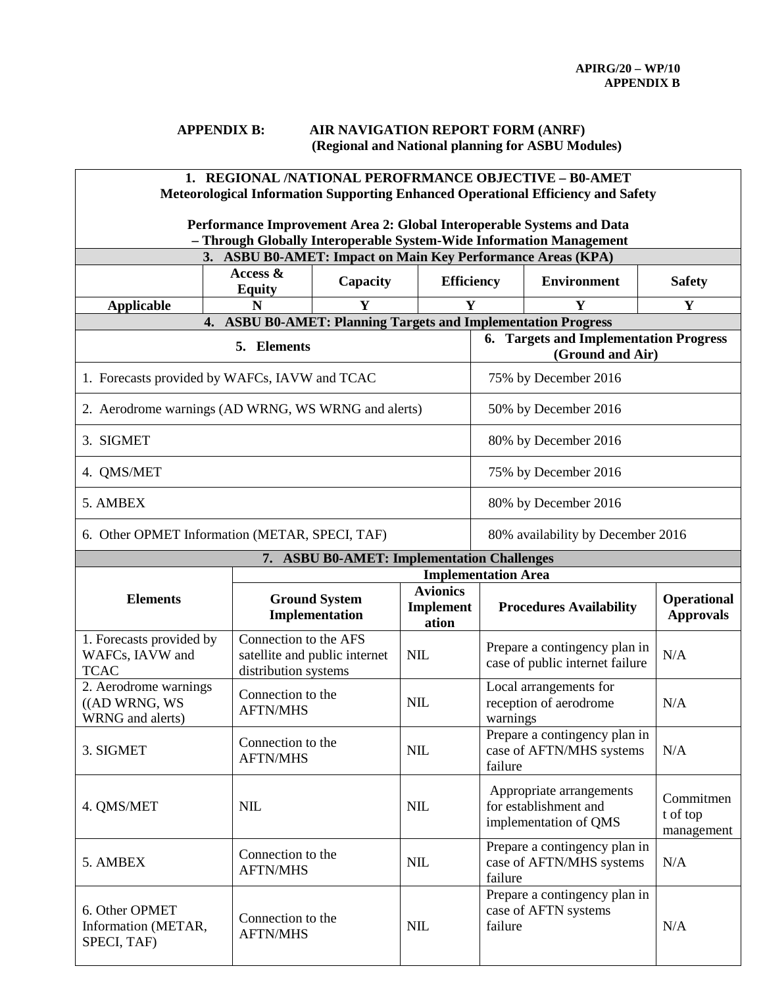## **APPENDIX B: AIR NAVIGATION REPORT FORM (ANRF) (Regional and National planning for ASBU Modules)**

| 1. REGIONAL /NATIONAL PEROFRMANCE OBJECTIVE - B0-AMET<br><b>Meteorological Information Supporting Enhanced Operational Efficiency and Safety</b> |                                               |                                               |                           |                                                                            |                                |                                        |  |  |
|--------------------------------------------------------------------------------------------------------------------------------------------------|-----------------------------------------------|-----------------------------------------------|---------------------------|----------------------------------------------------------------------------|--------------------------------|----------------------------------------|--|--|
| Performance Improvement Area 2: Global Interoperable Systems and Data<br>- Through Globally Interoperable System-Wide Information Management     |                                               |                                               |                           |                                                                            |                                |                                        |  |  |
| 3. ASBU B0-AMET: Impact on Main Key Performance Areas (KPA)                                                                                      |                                               |                                               |                           |                                                                            |                                |                                        |  |  |
|                                                                                                                                                  | Access $\&$<br><b>Equity</b>                  | Capacity                                      | <b>Efficiency</b>         |                                                                            | <b>Environment</b>             | <b>Safety</b>                          |  |  |
| <b>Applicable</b>                                                                                                                                | N                                             |                                               | Y                         |                                                                            | Y                              | Y                                      |  |  |
| <b>ASBU B0-AMET: Planning Targets and Implementation Progress</b><br>4.<br>5. Elements                                                           |                                               |                                               |                           | 6. Targets and Implementation Progress<br>(Ground and Air)                 |                                |                                        |  |  |
| 1. Forecasts provided by WAFCs, IAVW and TCAC                                                                                                    |                                               |                                               |                           | 75% by December 2016                                                       |                                |                                        |  |  |
| 2. Aerodrome warnings (AD WRNG, WS WRNG and alerts)                                                                                              |                                               |                                               |                           | 50% by December 2016                                                       |                                |                                        |  |  |
| 3. SIGMET                                                                                                                                        |                                               |                                               |                           | 80% by December 2016                                                       |                                |                                        |  |  |
| 4. QMS/MET                                                                                                                                       |                                               |                                               |                           | 75% by December 2016                                                       |                                |                                        |  |  |
| 5. AMBEX                                                                                                                                         |                                               |                                               |                           | 80% by December 2016                                                       |                                |                                        |  |  |
| 6. Other OPMET Information (METAR, SPECI, TAF)                                                                                                   |                                               |                                               |                           | 80% availability by December 2016                                          |                                |                                        |  |  |
|                                                                                                                                                  |                                               | 7. ASBU B0-AMET: Implementation Challenges    |                           |                                                                            |                                |                                        |  |  |
|                                                                                                                                                  |                                               | <b>Implementation Area</b><br><b>Avionics</b> |                           |                                                                            |                                |                                        |  |  |
| <b>Elements</b>                                                                                                                                  |                                               | <b>Ground System</b><br>Implementation        | <b>Implement</b><br>ation |                                                                            | <b>Procedures Availability</b> | <b>Operational</b><br><b>Approvals</b> |  |  |
| 1. Forecasts provided by<br>WAFCs, IAVW and<br><b>TCAC</b>                                                                                       | Connection to the AFS<br>distribution systems | satellite and public internet                 | <b>NIL</b>                | Prepare a contingency plan in<br>case of public internet failure           |                                | N/A                                    |  |  |
| 2. Aerodrome warnings<br>((AD WRNG, WS)<br>WRNG and alerts)                                                                                      | <b>AFTN/MHS</b>                               | Connection to the                             |                           | Local arrangements for<br>reception of aerodrome<br>warnings               |                                | N/A                                    |  |  |
| 3. SIGMET                                                                                                                                        | <b>AFTN/MHS</b>                               | Connection to the                             |                           | Prepare a contingency plan in<br>case of AFTN/MHS systems<br>failure       |                                | N/A                                    |  |  |
| 4. QMS/MET                                                                                                                                       | <b>NIL</b>                                    |                                               |                           | Appropriate arrangements<br>for establishment and<br>implementation of QMS |                                | Commitmen<br>t of top<br>management    |  |  |
| 5. AMBEX                                                                                                                                         | <b>AFTN/MHS</b>                               | Connection to the                             |                           | Prepare a contingency plan in<br>case of AFTN/MHS systems<br>failure       |                                | N/A                                    |  |  |
| 6. Other OPMET<br>Information (METAR,<br>SPECI, TAF)                                                                                             | <b>AFTN/MHS</b>                               | Connection to the                             |                           | Prepare a contingency plan in<br>case of AFTN systems<br>failure           |                                | N/A                                    |  |  |